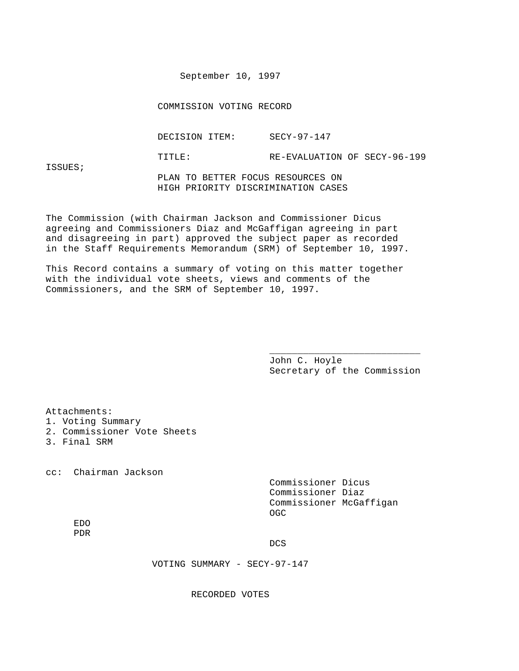September 10, 1997

COMMISSION VOTING RECORD

DECISION ITEM: SECY-97-147

TITLE: RE-EVALUATION OF SECY-96-199

ISSUES;

 PLAN TO BETTER FOCUS RESOURCES ON HIGH PRIORITY DISCRIMINATION CASES

The Commission (with Chairman Jackson and Commissioner Dicus agreeing and Commissioners Diaz and McGaffigan agreeing in part and disagreeing in part) approved the subject paper as recorded in the Staff Requirements Memorandum (SRM) of September 10, 1997.

This Record contains a summary of voting on this matter together with the individual vote sheets, views and comments of the Commissioners, and the SRM of September 10, 1997.

 $\overline{\phantom{a}}$  , and the contract of the contract of the contract of the contract of the contract of the contract of the contract of the contract of the contract of the contract of the contract of the contract of the contrac

 John C. Hoyle Secretary of the Commission

Attachments:

- 1. Voting Summary
- 2. Commissioner Vote Sheets
- 3. Final SRM

cc: Chairman Jackson

 Commissioner Dicus Commissioner Diaz Commissioner McGaffigan **CONTRACT CONTRACT CONTRACT CONTRACT CONTRACT CONTRACT CONTRACT CONTRACT CONTRACT CONTRACT CONTRACT CONTRACT CO** 

 EDO PDR

**DCS** 

VOTING SUMMARY - SECY-97-147

RECORDED VOTES